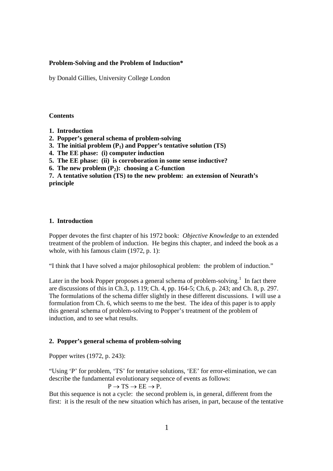#### **Problem-Solving and the Problem of Induction\***

by Donald Gillies, University College London

#### **Contents**

- **1. Introduction**
- **2. Popper's general schema of problem-solving**
- **3. The initial problem (P1) and Popper's tentative solution (TS)**
- **4. The EE phase: (i) computer induction**
- **5. The EE phase: (ii) is corroboration in some sense inductive?**
- **6. The new problem (P2): choosing a C-function**

**7. A tentative solution (TS) to the new problem: an extension of Neurath's principle**

#### **1. Introduction**

Popper devotes the first chapter of his 1972 book: *Objective Knowledge* to an extended treatment of the problem of induction. He begins this chapter, and indeed the book as a whole, with his famous claim (1972, p. 1):

"I think that I have solved a major philosophical problem: the problem of induction."

Later in the book Popper proposes a general schema of problem-solving.<sup>1</sup> In fact there are discussions of this in Ch.3, p. 119; Ch. 4, pp. 164-5; Ch.6, p. 243; and Ch. 8, p. 297. The formulations of the schema differ slightly in these different discussions. I will use a formulation from Ch. 6, which seems to me the best. The idea of this paper is to apply this general schema of problem-solving to Popper's treatment of the problem of induction, and to see what results.

### **2. Popper's general schema of problem-solving**

Popper writes (1972, p. 243):

"Using 'P' for problem, 'TS' for tentative solutions, 'EE' for error-elimination, we can describe the fundamental evolutionary sequence of events as follows:

#### $P \rightarrow TS \rightarrow EE \rightarrow P$ .

But this sequence is not a cycle: the second problem is, in general, different from the first: it is the result of the new situation which has arisen, in part, because of the tentative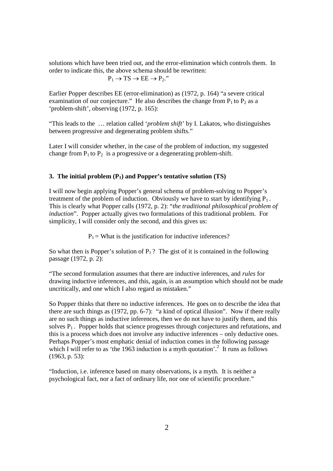solutions which have been tried out, and the error-elimination which controls them. In order to indicate this, the above schema should be rewritten:

$$
P_1 \to TS \to EE \to P_2.
$$

Earlier Popper describes EE (error-elimination) as (1972, p. 164) "a severe critical examination of our conjecture." He also describes the change from  $P_1$  to  $P_2$  as a 'problem-shift', observing (1972, p. 165):

"This leads to the … relation called '*problem shift*' by I. Lakatos, who distinguishes between progressive and degenerating problem shifts."

Later I will consider whether, in the case of the problem of induction, my suggested change from  $P_1$  to  $P_2$  is a progressive or a degenerating problem-shift.

# **3. The initial problem (P1) and Popper's tentative solution (TS)**

I will now begin applying Popper's general schema of problem-solving to Popper's treatment of the problem of induction. Obviously we have to start by identifying  $P_1$ . This is clearly what Popper calls (1972, p. 2): "*the traditional philosophical problem of induction*". Popper actually gives two formulations of this traditional problem. For simplicity, I will consider only the second, and this gives us:

 $P_1$  = What is the justification for inductive inferences?

So what then is Popper's solution of  $P_1$ ? The gist of it is contained in the following passage (1972, p. 2):

"The second formulation assumes that there are inductive inferences, and *rules* for drawing inductive inferences, and this, again, is an assumption which should not be made uncritically, and one which I also regard as mistaken."

So Popper thinks that there no inductive inferences. He goes on to describe the idea that there are such things as (1972, pp. 6-7): "a kind of optical illusion". Now if there really are no such things as inductive inferences, then we do not have to justify them, and this solves  $P_1$ . Popper holds that science progresses through conjectures and refutations, and this is a process which does not involve any inductive inferences – only deductive ones. Perhaps Popper's most emphatic denial of induction comes in the following passage which I will refer to as 'the 1963 induction is a myth quotation'.<sup>2</sup> It runs as follows (1963, p. 53):

"Induction, i.e. inference based on many observations, is a myth. It is neither a psychological fact, nor a fact of ordinary life, nor one of scientific procedure."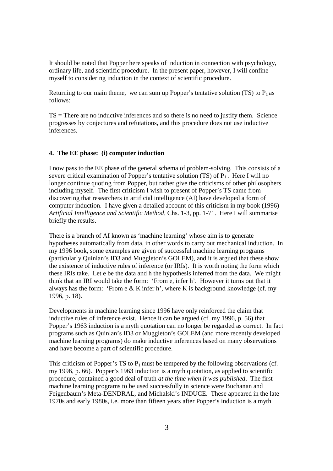It should be noted that Popper here speaks of induction in connection with psychology, ordinary life, and scientific procedure. In the present paper, however, I will confine myself to considering induction in the context of scientific procedure.

Returning to our main theme, we can sum up Popper's tentative solution (TS) to  $P_1$  as follows:

TS = There are no inductive inferences and so there is no need to justify them. Science progresses by conjectures and refutations, and this procedure does not use inductive inferences.

## **4. The EE phase: (i) computer induction**

I now pass to the EE phase of the general schema of problem-solving. This consists of a severe critical examination of Popper's tentative solution (TS) of  $P_1$ . Here I will no longer continue quoting from Popper, but rather give the criticisms of other philosophers including myself. The first criticism I wish to present of Popper's TS came from discovering that researchers in artificial intelligence (AI) have developed a form of computer induction. I have given a detailed account of this criticism in my book (1996) *Artificial Intelligence and Scientific Method*, Chs. 1-3, pp. 1-71. Here I will summarise briefly the results.

There is a branch of AI known as 'machine learning' whose aim is to generate hypotheses automatically from data, in other words to carry out mechanical induction. In my 1996 book, some examples are given of successful machine learning programs (particularly Quinlan's ID3 and Muggleton's GOLEM), and it is argued that these show the existence of inductive rules of inference (or IRIs). It is worth noting the form which these IRIs take. Let e be the data and h the hypothesis inferred from the data. We might think that an IRI would take the form: 'From e, infer h'. However it turns out that it always has the form: 'From e  $& K$  infer h', where K is background knowledge (cf. my 1996, p. 18).

Developments in machine learning since 1996 have only reinforced the claim that inductive rules of inference exist. Hence it can be argued (cf. my 1996, p. 56) that Popper's 1963 induction is a myth quotation can no longer be regarded as correct. In fact programs such as Quinlan's ID3 or Muggleton's GOLEM (and more recently developed machine learning programs) do make inductive inferences based on many observations and have become a part of scientific procedure.

This criticism of Popper's TS to  $P_1$  must be tempered by the following observations (cf. my 1996, p. 66). Popper's 1963 induction is a myth quotation, as applied to scientific procedure, contained a good deal of truth *at the time when it was published*. The first machine learning programs to be used successfully in science were Buchanan and Feigenbaum's Meta-DENDRAL, and Michalski's INDUCE. These appeared in the late 1970s and early 1980s, i.e. more than fifteen years after Popper's induction is a myth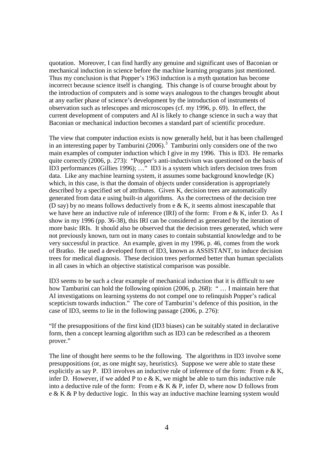quotation. Moreover, I can find hardly any genuine and significant uses of Baconian or mechanical induction in science before the machine learning programs just mentioned. Thus my conclusion is that Popper's 1963 induction is a myth quotation has become incorrect because science itself is changing. This change is of course brought about by the introduction of computers and is some ways analogous to the changes brought about at any earlier phase of science's development by the introduction of instruments of observation such as telescopes and microscopes (cf. my 1996, p. 69). In effect, the current development of computers and AI is likely to change science in such a way that Baconian or mechanical induction becomes a standard part of scientific procedure.

The view that computer induction exists is now generally held, but it has been challenged in an interesting paper by Tamburini  $(2006)$ .<sup>3</sup> Tamburini only considers one of the two main examples of computer induction which I give in my 1996. This is ID3. He remarks quite correctly (2006, p. 273): "Popper's anti-inductivism was questioned on the basis of ID3 performances (Gillies 1996); …" ID3 is a system which infers decision trees from data. Like any machine learning system, it assumes some background knowledge (K) which, in this case, is that the domain of objects under consideration is appropriately described by a specified set of attributes. Given K, decision trees are automatically generated from data e using built-in algorithms. As the correctness of the decision tree (D say) by no means follows deductively from e & K, it seems almost inescapable that we have here an inductive rule of inference (IRI) of the form: From e & K, infer D. As I show in my 1996 (pp. 36-38), this IRI can be considered as generated by the iteration of more basic IRIs. It should also be observed that the decision trees generated, which were not previously known, turn out in many cases to contain substantial knowledge and to be very successful in practice. An example, given in my 1996, p. 46, comes from the work of Bratko. He used a developed form of ID3, known as ASSISTANT, to induce decision trees for medical diagnosis. These decision trees performed better than human specialists in all cases in which an objective statistical comparison was possible.

ID3 seems to be such a clear example of mechanical induction that it is difficult to see how Tamburini can hold the following opinion (2006, p. 268): " ... I maintain here that AI investigations on learning systems do not compel one to relinquish Popper's radical scepticism towards induction." The core of Tamburini's defence of this position, in the case of ID3, seems to lie in the following passage (2006, p. 276):

"If the presuppositions of the first kind (ID3 biases) can be suitably stated in declarative form, then a concept learning algorithm such as ID3 can be redescribed as a theorem prover."

The line of thought here seems to be the following. The algorithms in ID3 involve some presuppositions (or, as one might say, heuristics). Suppose we were able to state these explicitly as say P. ID3 involves an inductive rule of inference of the form: From e  $\& K$ , infer D. However, if we added P to  $e \& K$ , we might be able to turn this inductive rule into a deductive rule of the form: From e & K & P, infer D, where now D follows from e & K & P by deductive logic. In this way an inductive machine learning system would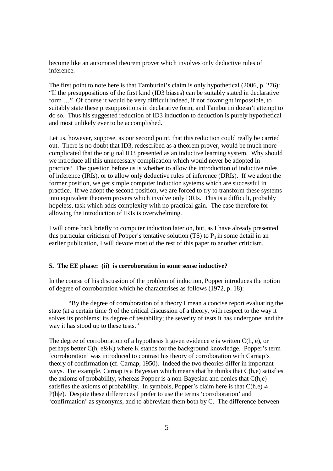become like an automated theorem prover which involves only deductive rules of inference.

The first point to note here is that Tamburini's claim is only hypothetical (2006, p. 276): "If the presuppositions of the first kind (ID3 biases) can be suitably stated in declarative form …" Of course it would be very difficult indeed, if not downright impossible, to suitably state these presuppositions in declarative form, and Tamburini doesn't attempt to do so. Thus his suggested reduction of ID3 induction to deduction is purely hypothetical and most unlikely ever to be accomplished.

Let us, however, suppose, as our second point, that this reduction could really be carried out. There is no doubt that ID3, redescribed as a theorem prover, would be much more complicated that the original ID3 presented as an inductive learning system. Why should we introduce all this unnecessary complication which would never be adopted in practice? The question before us is whether to allow the introduction of inductive rules of inference (IRIs), or to allow only deductive rules of inference (DRIs). If we adopt the former position, we get simple computer induction systems which are successful in practice. If we adopt the second position, we are forced to try to transform these systems into equivalent theorem provers which involve only DRIs. This is a difficult, probably hopeless, task which adds complexity with no practical gain. The case therefore for allowing the introduction of IRIs is overwhelming.

I will come back briefly to computer induction later on, but, as I have already presented this particular criticism of Popper's tentative solution (TS) to  $P_1$  in some detail in an earlier publication, I will devote most of the rest of this paper to another criticism.

#### **5. The EE phase: (ii) is corroboration in some sense inductive?**

In the course of his discussion of the problem of induction, Popper introduces the notion of degree of corroboration which he characterises as follows (1972, p. 18):

"By the degree of corroboration of a theory I mean a concise report evaluating the state (at a certain time *t*) of the critical discussion of a theory, with respect to the way it solves its problems; its degree of testability; the severity of tests it has undergone; and the way it has stood up to these tests."

The degree of corroboration of a hypothesis h given evidence e is written C(h, e), or perhaps better C(h, e&K) where K stands for the background knowledge. Popper's term 'corroboration' was introduced to contrast his theory of corroboration with Carnap's theory of confirmation (cf. Carnap, 1950). Indeed the two theories differ in important ways. For example, Carnap is a Bayesian which means that he thinks that  $C(h,e)$  satisfies the axioms of probability, whereas Popper is a non-Bayesian and denies that C(h,e) satisfies the axioms of probability. In symbols, Popper's claim here is that  $C(h,e) \neq$ P(h|e). Despite these differences I prefer to use the terms 'corroboration' and 'confirmation' as synonyms, and to abbreviate them both by C. The difference between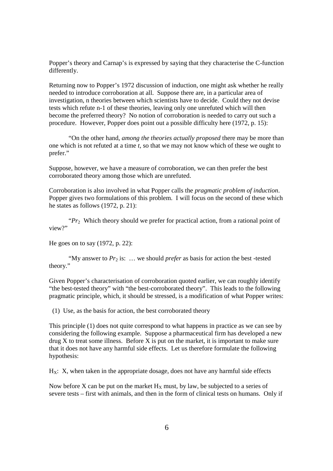Popper's theory and Carnap's is expressed by saying that they characterise the C-function differently.

Returning now to Popper's 1972 discussion of induction, one might ask whether he really needed to introduce corroboration at all. Suppose there are, in a particular area of investigation, n theories between which scientists have to decide. Could they not devise tests which refute n-1 of these theories, leaving only one unrefuted which will then become the preferred theory? No notion of corroboration is needed to carry out such a procedure. However, Popper does point out a possible difficulty here (1972, p. 15):

"On the other hand, *among the theories actually proposed* there may be more than one which is not refuted at a time *t*, so that we may not know which of these we ought to prefer."

Suppose, however, we have a measure of corroboration, we can then prefer the best corroborated theory among those which are unrefuted.

Corroboration is also involved in what Popper calls the *pragmatic problem of induction*. Popper gives two formulations of this problem. I will focus on the second of these which he states as follows (1972, p. 21):

"*Pr*<sup>2</sup> Which theory should we prefer for practical action, from a rational point of view?"

He goes on to say (1972, p. 22):

"My answer to  $Pr_2$  is: ... we should *prefer* as basis for action the best-tested theory."

Given Popper's characterisation of corroboration quoted earlier, we can roughly identify "the best-tested theory" with "the best-corroborated theory". This leads to the following pragmatic principle, which, it should be stressed, is a modification of what Popper writes:

(1) Use, as the basis for action, the best corroborated theory

This principle (1) does not quite correspond to what happens in practice as we can see by considering the following example. Suppose a pharmaceutical firm has developed a new drug  $X$  to treat some illness. Before  $X$  is put on the market, it is important to make sure that it does not have any harmful side effects. Let us therefore formulate the following hypothesis:

 $H_x$ : X, when taken in the appropriate dosage, does not have any harmful side effects

Now before X can be put on the market  $H_X$  must, by law, be subjected to a series of severe tests – first with animals, and then in the form of clinical tests on humans. Only if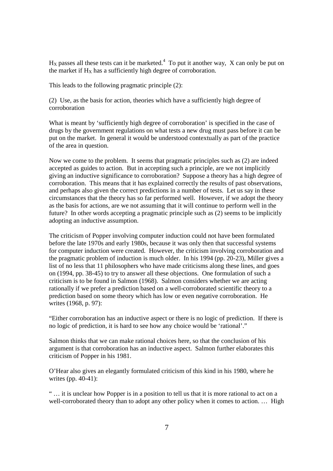$H_X$  passes all these tests can it be marketed.<sup>4</sup> To put it another way, X can only be put on the market if  $H_X$  has a sufficiently high degree of corroboration.

This leads to the following pragmatic principle (2):

(2) Use, as the basis for action, theories which have a sufficiently high degree of corroboration

What is meant by 'sufficiently high degree of corroboration' is specified in the case of drugs by the government regulations on what tests a new drug must pass before it can be put on the market. In general it would be understood contextually as part of the practice of the area in question.

Now we come to the problem. It seems that pragmatic principles such as (2) are indeed accepted as guides to action. But in accepting such a principle, are we not implicitly giving an inductive significance to corroboration? Suppose a theory has a high degree of corroboration. This means that it has explained correctly the results of past observations, and perhaps also given the correct predictions in a number of tests. Let us say in these circumstances that the theory has so far performed well. However, if we adopt the theory as the basis for actions, are we not assuming that it will continue to perform well in the future? In other words accepting a pragmatic principle such as (2) seems to be implicitly adopting an inductive assumption.

The criticism of Popper involving computer induction could not have been formulated before the late 1970s and early 1980s, because it was only then that successful systems for computer induction were created. However, the criticism involving corroboration and the pragmatic problem of induction is much older. In his 1994 (pp. 20-23), Miller gives a list of no less that 11 philosophers who have made criticisms along these lines, and goes on (1994, pp. 38-45) to try to answer all these objections. One formulation of such a criticism is to be found in Salmon (1968). Salmon considers whether we are acting rationally if we prefer a prediction based on a well-corroborated scientific theory to a prediction based on some theory which has low or even negative corroboration. He writes (1968, p. 97):

"Either corroboration has an inductive aspect or there is no logic of prediction. If there is no logic of prediction, it is hard to see how any choice would be 'rational'."

Salmon thinks that we can make rational choices here, so that the conclusion of his argument is that corroboration has an inductive aspect. Salmon further elaborates this criticism of Popper in his 1981.

O'Hear also gives an elegantly formulated criticism of this kind in his 1980, where he writes (pp. 40-41):

" … it is unclear how Popper is in a position to tell us that it is more rational to act on a well-corroborated theory than to adopt any other policy when it comes to action. ... High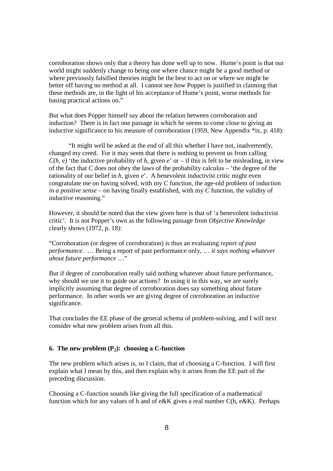corroboration shows only that a theory has done well up to now. Hume's point is that our world might suddenly change to being one where chance might be a good method or where previously falsified theories might be the best to act on or where we might be better off having no method at all. I cannot see how Popper is justified in claiming that these methods are, in the light of his acceptance of Hume's point, worse methods for basing practical actions on."

But what does Popper himself say about the relation between corroboration and induction? There is in fact one passage in which he seems to come close to giving an inductive significance to his measure of corroboration (1959, New Appendix \*ix, p. 418):

"It might well be asked at the end of all this whether I have not, inadvertently, changed my creed. For it may seem that there is nothing to prevent us from calling  $C(h, e)$  'the inductive probability of h, given  $e$ ' or – if this is felt to be misleading, in view of the fact that *C* does not obey the laws of the probability calculus – 'the degree of the rationality of our belief in *h*, given *e*'. A benevolent inductivist critic might even congratulate me on having solved, with my *C* function, the age-old problem of induction *in a positive sense* – on having finally established, with my *C* function, the validity of inductive reasoning."

However, it should be noted that the view given here is that of 'a benevolent inductivist critic'. It is not Popper's own as the following passage from *Objective Knowledge* clearly shows (1972, p. 18):

"Corroboration (or degree of corroboration) is thus an evaluating *report of past performance*. … Being a report of past performance only, … *it says nothing whatever about future performance* …"

But if degree of corroboration really said nothing whatever about future performance, why should we use it to guide our actions? In using it in this way, we are surely implicitly assuming that degree of corroboration does say something about future performance. In other words we are giving degree of corroboration an inductive significance.

That concludes the EE phase of the general schema of problem-solving, and I will next consider what new problem arises from all this.

## **6.** The new problem  $(P_2)$ : choosing a C-function

The new problem which arises is, so I claim, that of choosing a C-function. I will first explain what I mean by this, and then explain why it arises from the EE part of the preceding discussion.

Choosing a C-function sounds like giving the full specification of a mathematical function which for any values of h and of e & K gives a real number  $C(h, e \& K)$ . Perhaps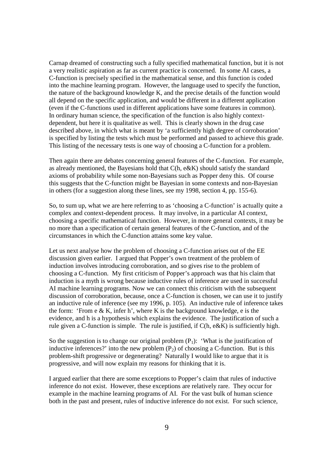Carnap dreamed of constructing such a fully specified mathematical function, but it is not a very realistic aspiration as far as current practice is concerned. In some AI cases, a C-function is precisely specified in the mathematical sense, and this function is coded into the machine learning program. However, the language used to specify the function, the nature of the background knowledge K, and the precise details of the function would all depend on the specific application, and would be different in a different application (even if the C-functions used in different applications have some features in common). In ordinary human science, the specification of the function is also highly contextdependent, but here it is qualitative as well. This is clearly shown in the drug case described above, in which what is meant by 'a sufficiently high degree of corroboration' is specified by listing the tests which must be performed and passed to achieve this grade. This listing of the necessary tests is one way of choosing a C-function for a problem.

Then again there are debates concerning general features of the C-function. For example, as already mentioned, the Bayesians hold that C(h, e&K) should satisfy the standard axioms of probability while some non-Bayesians such as Popper deny this. Of course this suggests that the C-function might be Bayesian in some contexts and non-Bayesian in others (for a suggestion along these lines, see my 1998, section 4, pp. 155-6).

So, to sum up, what we are here referring to as 'choosing a C-function' is actually quite a complex and context-dependent process. It may involve, in a particular AI context, choosing a specific mathematical function. However, in more general contexts, it may be no more than a specification of certain general features of the C-function, and of the circumstances in which the C-function attains some key value.

Let us next analyse how the problem of choosing a C-function arises out of the EE discussion given earlier. I argued that Popper's own treatment of the problem of induction involves introducing corroboration, and so gives rise to the problem of choosing a C-function. My first criticism of Popper's approach was that his claim that induction is a myth is wrong because inductive rules of inference are used in successful AI machine learning programs. Now we can connect this criticism with the subsequent discussion of corroboration, because, once a C-function is chosen, we can use it to justify an inductive rule of inference (see my 1996, p. 105). An inductive rule of inference takes the form: 'From e  $& K$ , infer h', where K is the background knowledge, e is the evidence, and h is a hypothesis which explains the evidence. The justification of such a rule given a C-function is simple. The rule is justified, if C(h, e&K) is sufficiently high.

So the suggestion is to change our original problem  $(P_1)$ : 'What is the justification of inductive inferences?' into the new problem  $(P_2)$  of choosing a C-function. But is this problem-shift progressive or degenerating? Naturally I would like to argue that it is progressive, and will now explain my reasons for thinking that it is.

I argued earlier that there are some exceptions to Popper's claim that rules of inductive inference do not exist. However, these exceptions are relatively rare. They occur for example in the machine learning programs of AI. For the vast bulk of human science both in the past and present, rules of inductive inference do not exist. For such science,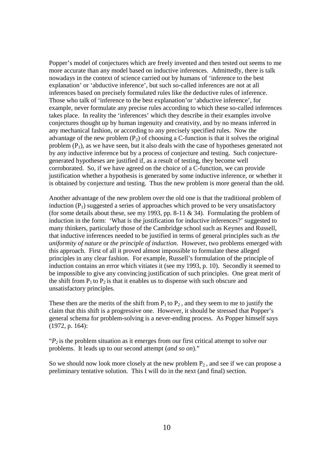Popper's model of conjectures which are freely invented and then tested out seems to me more accurate than any model based on inductive inferences. Admittedly, there is talk nowadays in the context of science carried out by humans of 'inference to the best explanation' or 'abductive inference', but such so-called inferences are not at all inferences based on precisely formulated rules like the deductive rules of inference. Those who talk of 'inference to the best explanation'or 'abductive inference', for example, never formulate any precise rules according to which these so-called inferences takes place. In reality the 'inferences' which they describe in their examples involve conjectures thought up by human ingenuity and creativity, and by no means inferred in any mechanical fashion, or according to any precisely specified rules. Now the advantage of the new problem  $(P_2)$  of choosing a C-function is that it solves the original problem  $(P_1)$ , as we have seen, but it also deals with the case of hypotheses generated not by any inductive inference but by a process of conjecture and testing. Such conjecturegenerated hypotheses are justified if, as a result of testing, they become well corroborated. So, if we have agreed on the choice of a C-function, we can provide justification whether a hypothesis is generated by some inductive inference, or whether it is obtained by conjecture and testing. Thus the new problem is more general than the old.

Another advantage of the new problem over the old one is that the traditional problem of induction  $(P_1)$  suggested a series of approaches which proved to be very unsatisfactory (for some details about these, see my 1993, pp. 8-11  $\&$  34). Formulating the problem of induction in the form: 'What is the justification for inductive inferences?' suggested to many thinkers, particularly those of the Cambridge school such as Keynes and Russell, that inductive inferences needed to be justified in terms of general principles such as *the uniformity of nature* or *the principle of induction*. However, two problems emerged with this approach. First of all it proved almost impossible to formulate these alleged principles in any clear fashion. For example, Russell's formulation of the principle of induction contains an error which vitiates it (see my 1993, p. 10). Secondly it seemed to be impossible to give any convincing justification of such principles. One great merit of the shift from  $P_1$  to  $P_2$  is that it enables us to dispense with such obscure and unsatisfactory principles.

These then are the merits of the shift from  $P_1$  to  $P_2$ , and they seem to me to justify the claim that this shift is a progressive one. However, it should be stressed that Popper's general schema for problem-solving is a never-ending process. As Popper himself says (1972, p. 164):

" $P_2$  is the problem situation as it emerges from our first critical attempt to solve our problems. It leads up to our second attempt (*and so on*)."

So we should now look more closely at the new problem  $P_2$ , and see if we can propose a preliminary tentative solution. This I will do in the next (and final) section.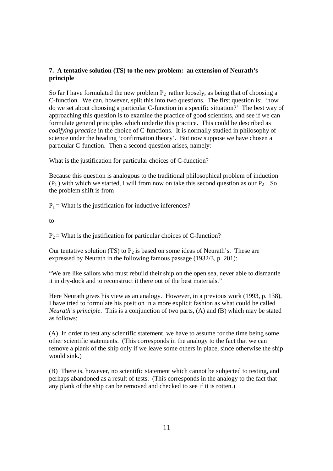# **7. A tentative solution (TS) to the new problem: an extension of Neurath's principle**

So far I have formulated the new problem  $P_2$  rather loosely, as being that of choosing a C-function. We can, however, split this into two questions. The first question is: 'how do we set about choosing a particular C-function in a specific situation?' The best way of approaching this question is to examine the practice of good scientists, and see if we can formulate general principles which underlie this practice. This could be described as *codifying practice* in the choice of C-functions. It is normally studied in philosophy of science under the heading 'confirmation theory'. But now suppose we have chosen a particular C-function. Then a second question arises, namely:

What is the justification for particular choices of C-function?

Because this question is analogous to the traditional philosophical problem of induction  $(P_1)$  with which we started, I will from now on take this second question as our  $P_2$ . So the problem shift is from

 $P_1$  = What is the justification for inductive inferences?

to

 $P_2$  = What is the justification for particular choices of C-function?

Our tentative solution (TS) to  $P_2$  is based on some ideas of Neurath's. These are expressed by Neurath in the following famous passage (1932/3, p. 201):

"We are like sailors who must rebuild their ship on the open sea, never able to dismantle it in dry-dock and to reconstruct it there out of the best materials."

Here Neurath gives his view as an analogy. However, in a previous work (1993, p. 138), I have tried to formulate his position in a more explicit fashion as what could be called *Neurath's principle*. This is a conjunction of two parts, (A) and (B) which may be stated as follows:

(A) In order to test any scientific statement, we have to assume for the time being some other scientific statements. (This corresponds in the analogy to the fact that we can remove a plank of the ship only if we leave some others in place, since otherwise the ship would sink.)

(B) There is, however, no scientific statement which cannot be subjected to testing, and perhaps abandoned as a result of tests. (This corresponds in the analogy to the fact that any plank of the ship can be removed and checked to see if it is rotten.)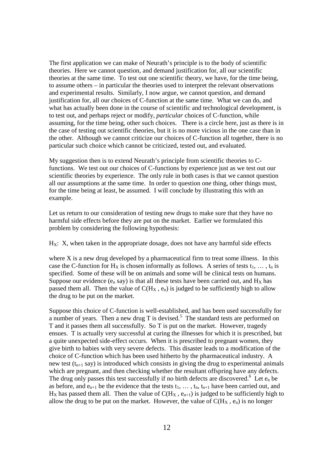The first application we can make of Neurath's principle is to the body of scientific theories. Here we cannot question, and demand justification for, all our scientific theories at the same time. To test out one scientific theory, we have, for the time being, to assume others – in particular the theories used to interpret the relevant observations and experimental results. Similarly, I now argue, we cannot question, and demand justification for, all our choices of C-function at the same time. What we can do, and what has actually been done in the course of scientific and technological development, is to test out, and perhaps reject or modify, *particular* choices of C-function, while assuming, for the time being, other such choices. There is a circle here, just as there is in the case of testing out scientific theories, but it is no more vicious in the one case than in the other. Although we cannot criticize our choices of C-function all together, there is no particular such choice which cannot be criticized, tested out, and evaluated.

My suggestion then is to extend Neurath's principle from scientific theories to Cfunctions. We test out our choices of C-functions by experience just as we test out our scientific theories by experience. The only rule in both cases is that we cannot question all our assumptions at the same time. In order to question one thing, other things must, for the time being at least, be assumed. I will conclude by illustrating this with an example.

Let us return to our consideration of testing new drugs to make sure that they have no harmful side effects before they are put on the market. Earlier we formulated this problem by considering the following hypothesis:

 $H_X$ : X, when taken in the appropriate dosage, does not have any harmful side effects

where X is a new drug developed by a pharmaceutical firm to treat some illness. In this case the C-function for H<sub>X</sub> is chosen informally as follows. A series of tests  $t_1, \ldots, t_n$  is specified. Some of these will be on animals and some will be clinical tests on humans. Suppose our evidence  $(e_n$  say) is that all these tests have been carried out, and  $H_X$  has passed them all. Then the value of  $C(H_X, e_n)$  is judged to be sufficiently high to allow the drug to be put on the market.

Suppose this choice of C-function is well-established, and has been used successfully for a number of years. Then a new drug  $T$  is devised.<sup>5</sup> The standard tests are performed on T and it passes them all successfully. So T is put on the market. However, tragedy ensues. T is actually very successful at curing the illnesses for which it is prescribed, but a quite unexpected side-effect occurs. When it is prescribed to pregnant women, they give birth to babies with very severe defects. This disaster leads to a modification of the choice of C-function which has been used hitherto by the pharmaceutical industry. A new test  $(t_{n+1}$  say) is introduced which consists in giving the drug to experimental animals which are pregnant, and then checking whether the resultant offspring have any defects. The drug only passes this test successfully if no birth defects are discovered.<sup>6</sup> Let  $e_n$  be as before, and  $e_{n+1}$  be the evidence that the tests  $t_1, \ldots, t_n, t_{n+1}$  have been carried out, and  $H_X$  has passed them all. Then the value of  $C(H_X, e_{n+1})$  is judged to be sufficiently high to allow the drug to be put on the market. However, the value of  $C(H_X, e_n)$  is no longer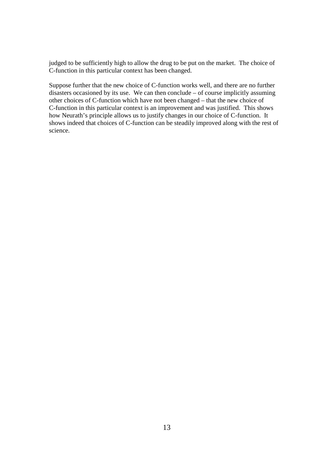judged to be sufficiently high to allow the drug to be put on the market. The choice of C-function in this particular context has been changed.

Suppose further that the new choice of C-function works well, and there are no further disasters occasioned by its use. We can then conclude – of course implicitly assuming other choices of C-function which have not been changed – that the new choice of C-function in this particular context is an improvement and was justified. This shows how Neurath's principle allows us to justify changes in our choice of C-function. It shows indeed that choices of C-function can be steadily improved along with the rest of science.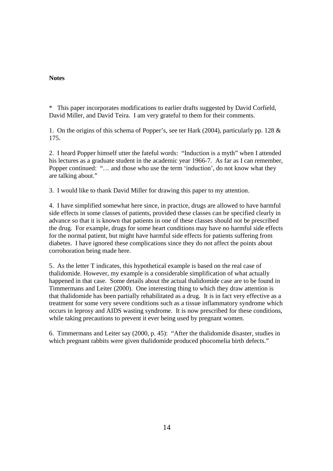## **Notes**

\* This paper incorporates modifications to earlier drafts suggested by David Corfield, David Miller, and David Teira. I am very grateful to them for their comments.

1. On the origins of this schema of Popper's, see ter Hark (2004), particularly pp. 128 & 175.

2. I heard Popper himself utter the fateful words: "Induction is a myth" when I attended his lectures as a graduate student in the academic year 1966-7. As far as I can remember, Popper continued: "… and those who use the term 'induction', do not know what they are talking about."

3. I would like to thank David Miller for drawing this paper to my attention.

4. I have simplified somewhat here since, in practice, drugs are allowed to have harmful side effects in some classes of patients, provided these classes can be specified clearly in advance so that it is known that patients in one of these classes should not be prescribed the drug. For example, drugs for some heart conditions may have no harmful side effects for the normal patient, but might have harmful side effects for patients suffering from diabetes. I have ignored these complications since they do not affect the points about corroboration being made here.

5. As the letter T indicates, this hypothetical example is based on the real case of thalidomide. However, my example is a considerable simplification of what actually happened in that case. Some details about the actual thalidomide case are to be found in Timmermans and Leiter (2000). One interesting thing to which they draw attention is that thalidomide has been partially rehabilitated as a drug. It is in fact very effective as a treatment for some very severe conditions such as a tissue inflammatory syndrome which occurs in leprosy and AIDS wasting syndrome. It is now prescribed for these conditions, while taking precautions to prevent it ever being used by pregnant women.

6. Timmermans and Leiter say (2000, p. 45): "After the thalidomide disaster, studies in which pregnant rabbits were given thalidomide produced phocomelia birth defects."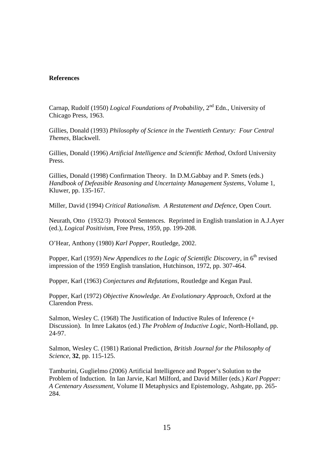### **References**

Carnap, Rudolf (1950) *Logical Foundations of Probability*, 2nd Edn., University of Chicago Press, 1963.

Gillies, Donald (1993) *Philosophy of Science in the Twentieth Century: Four Central Themes*, Blackwell.

Gillies, Donald (1996) *Artificial Intelligence and Scientific Method*, Oxford University Press.

Gillies, Donald (1998) Confirmation Theory. In D.M.Gabbay and P. Smets (eds.) *Handbook of Defeasible Reasoning and Uncertainty Management Systems*, Volume 1, Kluwer, pp. 135-167.

Miller, David (1994) *Critical Rationalism. A Restatement and Defence*, Open Court.

Neurath, Otto (1932/3) Protocol Sentences. Reprinted in English translation in A.J.Ayer (ed.), *Logical Positivism*, Free Press, 1959, pp. 199-208.

O'Hear, Anthony (1980) *Karl Popper*, Routledge, 2002.

Popper, Karl (1959) *New Appendices to the Logic of Scientific Discovery*, in 6<sup>th</sup> revised impression of the 1959 English translation, Hutchinson, 1972, pp. 307-464.

Popper, Karl (1963) *Conjectures and Refutations*, Routledge and Kegan Paul.

Popper, Karl (1972) *Objective Knowledge. An Evolutionary Approach*, Oxford at the Clarendon Press.

Salmon, Wesley C. (1968) The Justification of Inductive Rules of Inference (+ Discussion). In Imre Lakatos (ed.) *The Problem of Inductive Logic*, North-Holland, pp. 24-97.

Salmon, Wesley C. (1981) Rational Prediction, *British Journal for the Philosophy of Science*, **32**, pp. 115-125.

Tamburini, Guglielmo (2006) Artificial Intelligence and Popper's Solution to the Problem of Induction. In Ian Jarvie, Karl Milford, and David Miller (eds.) *Karl Popper: A Centenary Assessment*, Volume II Metaphysics and Epistemology, Ashgate, pp. 265- 284.